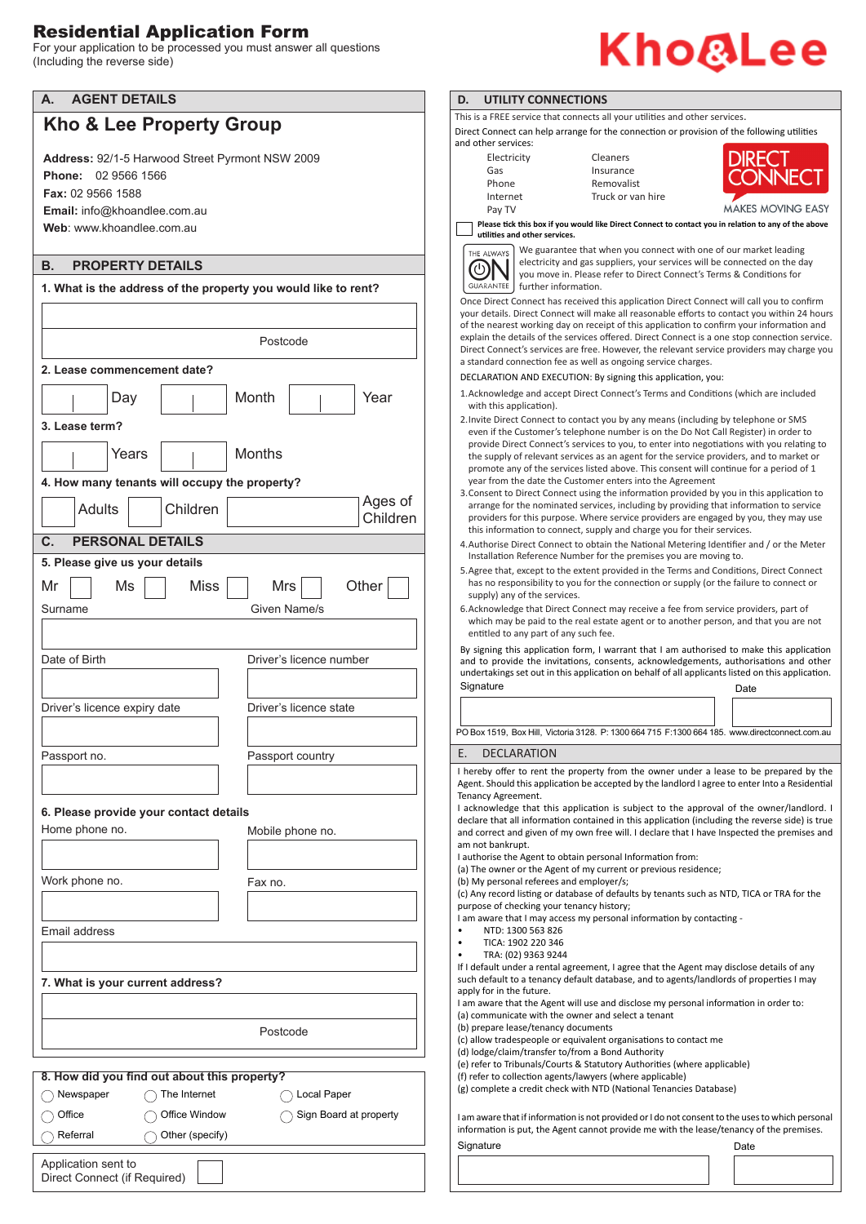## Residential Application Form

For your application to be processed you must answer all questions (Including the reverse side)

| <b>AGENT DETAILS</b><br>А.          |                                                                |                         |                          |
|-------------------------------------|----------------------------------------------------------------|-------------------------|--------------------------|
|                                     | Kho & Lee Property Group                                       |                         |                          |
|                                     |                                                                |                         |                          |
|                                     | Address: 92/1-5 Harwood Street Pyrmont NSW 2009                |                         |                          |
| <b>Phone: 02 9566 1566</b>          |                                                                |                         |                          |
| Fax: 02 9566 1588                   |                                                                |                         |                          |
| <b>Email:</b> info@khoandlee.com.au |                                                                |                         |                          |
| Web: www.khoandlee.com.au           |                                                                |                         |                          |
|                                     |                                                                |                         |                          |
| В.                                  | <b>PROPERTY DETAILS</b>                                        |                         |                          |
|                                     |                                                                |                         |                          |
|                                     | 1. What is the address of the property you would like to rent? |                         |                          |
|                                     |                                                                |                         |                          |
|                                     |                                                                |                         |                          |
|                                     |                                                                | Postcode                |                          |
|                                     |                                                                |                         |                          |
|                                     | 2. Lease commencement date?                                    |                         |                          |
| Day                                 |                                                                | Month                   | Year                     |
|                                     |                                                                |                         |                          |
| 3. Lease term?                      |                                                                |                         |                          |
|                                     |                                                                |                         |                          |
|                                     | Years                                                          | <b>Months</b>           |                          |
|                                     | 4. How many tenants will occupy the property?                  |                         |                          |
|                                     |                                                                |                         |                          |
| Adults                              | Children                                                       |                         | Ages of                  |
|                                     |                                                                |                         | Children                 |
| C.                                  | <b>PERSONAL DETAILS</b>                                        |                         |                          |
| 5. Please give us your details      |                                                                |                         |                          |
|                                     |                                                                |                         |                          |
| Mr<br>Ms                            | <b>Miss</b>                                                    | Mrs                     | Other                    |
| Surname                             |                                                                |                         |                          |
|                                     |                                                                |                         |                          |
|                                     |                                                                | Given Name/s            |                          |
|                                     |                                                                |                         |                          |
| Date of Birth                       |                                                                | Driver's licence number |                          |
|                                     |                                                                |                         |                          |
|                                     |                                                                |                         |                          |
| Driver's licence expiry date        |                                                                | Driver's licence state  |                          |
|                                     |                                                                |                         |                          |
|                                     |                                                                |                         |                          |
| Passport no.                        |                                                                | Passport country        |                          |
|                                     |                                                                |                         |                          |
|                                     |                                                                |                         |                          |
|                                     |                                                                |                         |                          |
|                                     | 6. Please provide your contact details                         |                         |                          |
| Home phone no.                      |                                                                | Mobile phone no.        |                          |
|                                     |                                                                |                         |                          |
|                                     |                                                                |                         |                          |
| Work phone no.                      |                                                                | Fax no.                 |                          |
|                                     |                                                                |                         |                          |
|                                     |                                                                |                         |                          |
| Email address                       |                                                                |                         |                          |
|                                     |                                                                |                         |                          |
|                                     |                                                                |                         |                          |
|                                     |                                                                |                         |                          |
|                                     | 7. What is your current address?                               |                         |                          |
|                                     |                                                                |                         |                          |
|                                     |                                                                |                         |                          |
|                                     |                                                                | Postcode                |                          |
|                                     |                                                                |                         |                          |
|                                     |                                                                |                         |                          |
|                                     | 8. How did you find out about this property?                   |                         |                          |
| $\supset$ Newspaper                 | $\bigcap$ The Internet                                         | $\bigcap$ Local Paper   |                          |
| Office                              | Office Window                                                  |                         | ◯ Sign Board at property |

## Kho@Lee

## **ILITY CONNECTIONS**

EE service that connects all your utilities and other services.

nect can help arrange for the connection or provision of the following utilities services:

| Electricity |
|-------------|
| Gas         |
| Phone       |
| Internet    |
| Pay TV      |

Cleaners Insurance Removalist Truck or van hire



**MAKES MOVING EASY** 

**Please tick this box if you would like Direct Connect to contact you in relation to any of the above utilities** and other services



We guarantee that when you connect with one of our market leading electricity and gas suppliers, your services will be connected on the day you move in. Please refer to Direct Connect's Terms & Conditions for further information.

ect Connect has received this application Direct Connect will call you to confirm ils. Direct Connect will make all reasonable efforts to contact you within 24 hours arest working day on receipt of this application to confirm your information and e details of the services offered. Direct Connect is a one stop connection service. nnect's services are free. However, the relevant service providers may charge you d connection fee as well as ongoing service charges.

FION AND EXECUTION: By signing this application, you:

- ledge and accept Direct Connect's Terms and Conditions (which are included  $is anolication$ ).
- irect Connect to contact you by any means (including by telephone or SMS the Customer's telephone number is on the Do Not Call Register) in order to Direct Connect's services to you, to enter into negotiations with you relating to ply of relevant services as an agent for the service providers, and to market or  $\frac{1}{2}$  any of the services listed above. This consent will continue for a period of 1 m the date the Customer enters into the Agreement
- to Direct Connect using the information provided by you in this application to for the nominated services, including by providing that information to service rs for this purpose. Where service providers are engaged by you, they may use this information to connect, supply and charge you for their services
- ise Direct Connect to obtain the National Metering Identifier and / or the Meter tion Reference Number for the premises you are moving to.
- hat, except to the extent provided in the Terms and Conditions, Direct Connect responsibility to you for the connection or supply (or the failure to connect or any of the services.
- ledge that Direct Connect may receive a fee from service providers, part of nay be paid to the real estate agent or to another person, and that you are not to any part of any such fee.

Signature Date Controller and Controller and Controller and Controller and Controller and Date If this application form, I warrant that I am authorised to make this application ovide the invitations, consents, acknowledgements, authorisations and other ngs set out in this application on behalf of all applicants listed on this application.

|  |  | the contract of the contract of the contract of |                                                                                                |
|--|--|-------------------------------------------------|------------------------------------------------------------------------------------------------|
|  |  |                                                 | PO Box 1519, Box Hill, Victoria 3128. P: 1300 664 715 F:1300 664 185. www.directconnect.com.au |

## **CLARATION**

Ifer to rent the property from the owner under a lease to be prepared by the ould this application be accepted by the landlord I agree to enter Into a Residential greement.

edge that this application is subiect to the approval of the owner/landlord. I at all information contained in this application (including the reverse side) is true t and given of my own free will. I declare that I have Inspected the premises and nkrupt.

the Agent to obtain personal Information from:

(a) The Orient of my current or previous residence;

sonal referees and employer/s;

cord listing or database of defaults by tenants such as NTD, TICA or TRA for the checking your tenancy history;

e that I may access my personal information by contacting -

- 0: 1300 563 826
- TICA: 1902 220 346
- $: (02)$  9363 9244

under a rental agreement, I agree that the Agent may disclose details of any such default to a tenancy default database, and to agents/landlords of properties I may n the future.

e that the Agent will use and disclose my personal information in order to: inicate with the owner and select a tenant

e lease/tenancy documents

radespeople or equivalent organisations to contact me

claim/transfer to/from a Bond Authority

Tribunals/Courts & Statutory Authorities (where applicable)

collection agents/lawyers (where applicable)

te a credit check with NTD (National Tenancies Database)

that if information is not provided or I do not consent to the uses to which personal in is put, the Agent cannot provide me with the lease/tenancy of the premises. Signature Date **Date**